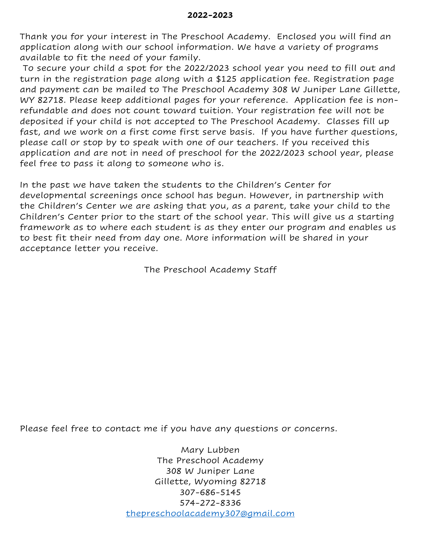Thank you for your interest in The Preschool Academy. Enclosed you will find an application along with our school information. We have a variety of programs available to fit the need of your family.

To secure your child a spot for the 2022/2023 school year you need to fill out and turn in the registration page along with a \$125 application fee. Registration page and payment can be mailed to The Preschool Academy 308 W Juniper Lane Gillette, WY 82718. Please keep additional pages for your reference. Application fee is nonrefundable and does not count toward tuition. Your registration fee will not be deposited if your child is not accepted to The Preschool Academy. Classes fill up fast, and we work on a first come first serve basis. If you have further questions, please call or stop by to speak with one of our teachers. If you received this application and are not in need of preschool for the 2022/2023 school year, please feel free to pass it along to someone who is.

In the past we have taken the students to the Children's Center for developmental screenings once school has begun. However, in partnership with the Children's Center we are asking that you, as a parent, take your child to the Children's Center prior to the start of the school year. This will give us a starting framework as to where each student is as they enter our program and enables us to best fit their need from day one. More information will be shared in your acceptance letter you receive.

The Preschool Academy Staff

Please feel free to contact me if you have any questions or concerns.

Mary Lubben The Preschool Academy 308 W Juniper Lane Gillette, Wyoming 82718 307-686-5145 574-272-8336 [thepreschoolacademy307@gmail.com](mailto:thepreschoolacademy307@gmail.com)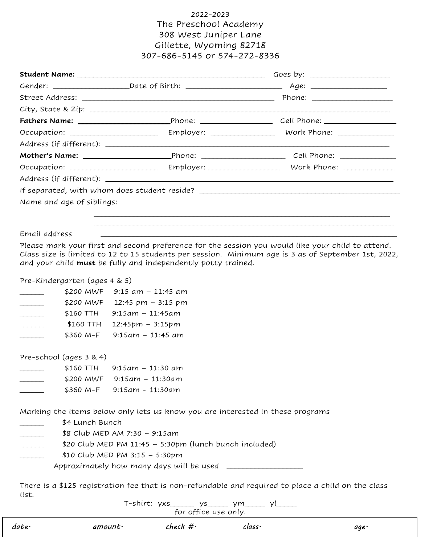### 2022-2023 The Preschool Academy 308 West Juniper Lane Gillette, Wyoming 82718 307-686-5145 or 574-272-8336

|                                       |                                                                                | If separated, with whom does student reside? ___________________________________                                                                                                                         |  |
|---------------------------------------|--------------------------------------------------------------------------------|----------------------------------------------------------------------------------------------------------------------------------------------------------------------------------------------------------|--|
| Name and age of siblings:             |                                                                                |                                                                                                                                                                                                          |  |
|                                       |                                                                                |                                                                                                                                                                                                          |  |
|                                       |                                                                                |                                                                                                                                                                                                          |  |
| Email address                         |                                                                                |                                                                                                                                                                                                          |  |
|                                       |                                                                                | Please mark your first and second preference for the session you would like your child to attend.<br>Class size is limited to 12 to 15 students per session. Minimum age is 3 as of September 1st, 2022, |  |
|                                       | and your child <b>must</b> be fully and independently potty trained.           |                                                                                                                                                                                                          |  |
|                                       |                                                                                |                                                                                                                                                                                                          |  |
|                                       |                                                                                |                                                                                                                                                                                                          |  |
| Pre-Kindergarten (ages 4 & 5)         |                                                                                |                                                                                                                                                                                                          |  |
|                                       | \$200 MWF 9:15 am - 11:45 am                                                   |                                                                                                                                                                                                          |  |
| $\overline{\phantom{a}}$              | \$200 MWF 12:45 pm - 3:15 pm                                                   |                                                                                                                                                                                                          |  |
| \$160 TTH<br>$\overline{\phantom{a}}$ | $9:15am - 11:45am$                                                             |                                                                                                                                                                                                          |  |
| \$160 TTH<br>$\frac{1}{2}$            | 12:45pm – 3:15pm                                                               |                                                                                                                                                                                                          |  |
| \$360 M-F                             | 9:15am – 11:45 am                                                              |                                                                                                                                                                                                          |  |
|                                       |                                                                                |                                                                                                                                                                                                          |  |
|                                       | $$160$ TTH 9:15am - 11:30 am                                                   |                                                                                                                                                                                                          |  |
|                                       | \$200 MWF 9:15am - 11:30am                                                     |                                                                                                                                                                                                          |  |
| Pre-school (ages 3 & 4)               | \$360 M-F 9:15am - 11:30am                                                     |                                                                                                                                                                                                          |  |
|                                       |                                                                                |                                                                                                                                                                                                          |  |
|                                       | Marking the items below only lets us know you are interested in these programs |                                                                                                                                                                                                          |  |

- \_\_\_\_\_\_ \$8 Club MED AM 7:30 9:15am
- $$20$  Club MED PM 11:45 5:30pm (lunch bunch included)
	- \_\_\_\_\_\_ \$10 Club MED PM 3:15 5:30pm
		- Approximately how many days will be used \_\_\_\_\_\_\_\_\_\_\_\_\_\_\_\_\_\_\_

There is a \$125 registration fee that is non-refundable and required to place a child on the class list.

T-shirt: yxs\_\_\_\_\_\_ ys\_\_\_\_\_ ym\_\_\_\_\_ yl\_\_\_\_\_ for office use only.

| date· | $amount \cdot$ | $check\#$ | $\mathcal{C}$ lass $\cdot$ | age· |
|-------|----------------|-----------|----------------------------|------|
|       |                |           |                            |      |